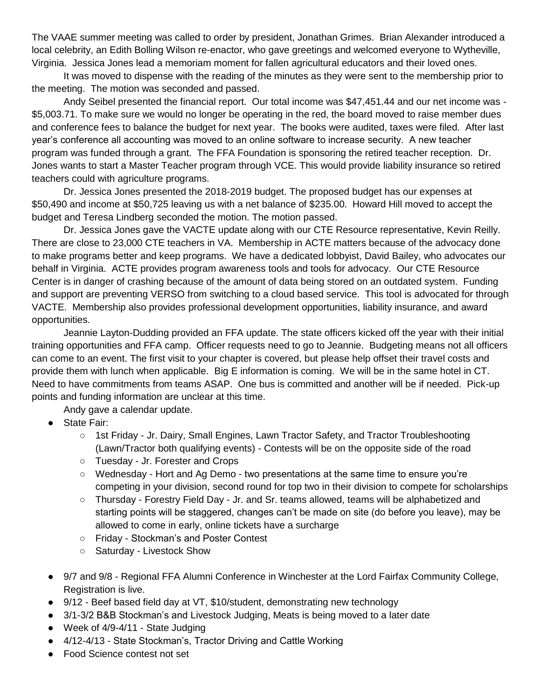The VAAE summer meeting was called to order by president, Jonathan Grimes. Brian Alexander introduced a local celebrity, an Edith Bolling Wilson re-enactor, who gave greetings and welcomed everyone to Wytheville, Virginia. Jessica Jones lead a memoriam moment for fallen agricultural educators and their loved ones.

It was moved to dispense with the reading of the minutes as they were sent to the membership prior to the meeting. The motion was seconded and passed.

Andy Seibel presented the financial report. Our total income was \$47,451.44 and our net income was - \$5,003.71. To make sure we would no longer be operating in the red, the board moved to raise member dues and conference fees to balance the budget for next year. The books were audited, taxes were filed. After last year's conference all accounting was moved to an online software to increase security. A new teacher program was funded through a grant. The FFA Foundation is sponsoring the retired teacher reception. Dr. Jones wants to start a Master Teacher program through VCE. This would provide liability insurance so retired teachers could with agriculture programs.

Dr. Jessica Jones presented the 2018-2019 budget. The proposed budget has our expenses at \$50,490 and income at \$50,725 leaving us with a net balance of \$235.00. Howard Hill moved to accept the budget and Teresa Lindberg seconded the motion. The motion passed.

Dr. Jessica Jones gave the VACTE update along with our CTE Resource representative, Kevin Reilly. There are close to 23,000 CTE teachers in VA. Membership in ACTE matters because of the advocacy done to make programs better and keep programs. We have a dedicated lobbyist, David Bailey, who advocates our behalf in Virginia. ACTE provides program awareness tools and tools for advocacy. Our CTE Resource Center is in danger of crashing because of the amount of data being stored on an outdated system. Funding and support are preventing VERSO from switching to a cloud based service. This tool is advocated for through VACTE. Membership also provides professional development opportunities, liability insurance, and award opportunities.

Jeannie Layton-Dudding provided an FFA update. The state officers kicked off the year with their initial training opportunities and FFA camp. Officer requests need to go to Jeannie. Budgeting means not all officers can come to an event. The first visit to your chapter is covered, but please help offset their travel costs and provide them with lunch when applicable. Big E information is coming. We will be in the same hotel in CT. Need to have commitments from teams ASAP. One bus is committed and another will be if needed. Pick-up points and funding information are unclear at this time.

Andy gave a calendar update.

- State Fair:
	- 1st Friday Jr. Dairy, Small Engines, Lawn Tractor Safety, and Tractor Troubleshooting (Lawn/Tractor both qualifying events) - Contests will be on the opposite side of the road
	- Tuesday Jr. Forester and Crops
	- Wednesday Hort and Ag Demo two presentations at the same time to ensure you're competing in your division, second round for top two in their division to compete for scholarships
	- Thursday Forestry Field Day Jr. and Sr. teams allowed, teams will be alphabetized and starting points will be staggered, changes can't be made on site (do before you leave), may be allowed to come in early, online tickets have a surcharge
	- Friday Stockman's and Poster Contest
	- Saturday Livestock Show
- 9/7 and 9/8 Regional FFA Alumni Conference in Winchester at the Lord Fairfax Community College, Registration is live.
- 9/12 Beef based field day at VT, \$10/student, demonstrating new technology
- 3/1-3/2 B&B Stockman's and Livestock Judging, Meats is being moved to a later date
- Week of 4/9-4/11 State Judging
- 4/12-4/13 State Stockman's, Tractor Driving and Cattle Working
- Food Science contest not set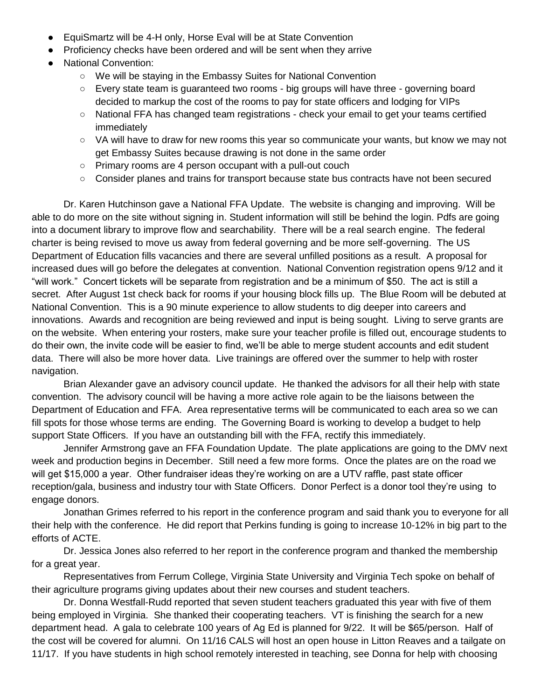- EquiSmartz will be 4-H only, Horse Eval will be at State Convention
- Proficiency checks have been ordered and will be sent when they arrive
- National Convention:
	- We will be staying in the Embassy Suites for National Convention
	- Every state team is guaranteed two rooms big groups will have three governing board decided to markup the cost of the rooms to pay for state officers and lodging for VIPs
	- National FFA has changed team registrations check your email to get your teams certified immediately
	- VA will have to draw for new rooms this year so communicate your wants, but know we may not get Embassy Suites because drawing is not done in the same order
	- Primary rooms are 4 person occupant with a pull-out couch
	- Consider planes and trains for transport because state bus contracts have not been secured

Dr. Karen Hutchinson gave a National FFA Update. The website is changing and improving. Will be able to do more on the site without signing in. Student information will still be behind the login. Pdfs are going into a document library to improve flow and searchability. There will be a real search engine. The federal charter is being revised to move us away from federal governing and be more self-governing. The US Department of Education fills vacancies and there are several unfilled positions as a result. A proposal for increased dues will go before the delegates at convention. National Convention registration opens 9/12 and it "will work." Concert tickets will be separate from registration and be a minimum of \$50. The act is still a secret. After August 1st check back for rooms if your housing block fills up. The Blue Room will be debuted at National Convention. This is a 90 minute experience to allow students to dig deeper into careers and innovations. Awards and recognition are being reviewed and input is being sought. Living to serve grants are on the website. When entering your rosters, make sure your teacher profile is filled out, encourage students to do their own, the invite code will be easier to find, we'll be able to merge student accounts and edit student data. There will also be more hover data. Live trainings are offered over the summer to help with roster navigation.

Brian Alexander gave an advisory council update. He thanked the advisors for all their help with state convention. The advisory council will be having a more active role again to be the liaisons between the Department of Education and FFA. Area representative terms will be communicated to each area so we can fill spots for those whose terms are ending. The Governing Board is working to develop a budget to help support State Officers. If you have an outstanding bill with the FFA, rectify this immediately.

Jennifer Armstrong gave an FFA Foundation Update. The plate applications are going to the DMV next week and production begins in December. Still need a few more forms. Once the plates are on the road we will get \$15,000 a year. Other fundraiser ideas they're working on are a UTV raffle, past state officer reception/gala, business and industry tour with State Officers. Donor Perfect is a donor tool they're using to engage donors.

Jonathan Grimes referred to his report in the conference program and said thank you to everyone for all their help with the conference. He did report that Perkins funding is going to increase 10-12% in big part to the efforts of ACTE.

Dr. Jessica Jones also referred to her report in the conference program and thanked the membership for a great year.

Representatives from Ferrum College, Virginia State University and Virginia Tech spoke on behalf of their agriculture programs giving updates about their new courses and student teachers.

Dr. Donna Westfall-Rudd reported that seven student teachers graduated this year with five of them being employed in Virginia. She thanked their cooperating teachers. VT is finishing the search for a new department head. A gala to celebrate 100 years of Ag Ed is planned for 9/22. It will be \$65/person. Half of the cost will be covered for alumni. On 11/16 CALS will host an open house in Litton Reaves and a tailgate on 11/17. If you have students in high school remotely interested in teaching, see Donna for help with choosing